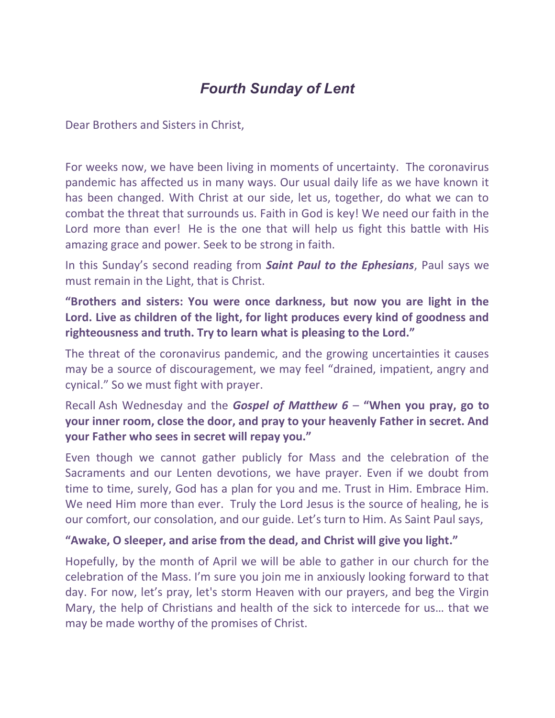## Fourth Sunday of Lent

Dear Brothers and Sisters in Christ,

For weeks now, we have been living in moments of uncertainty. The coronavirus pandemic has affected us in many ways. Our usual daily life as we have known it has been changed. With Christ at our side, let us, together, do what we can to combat the threat that surrounds us. Faith in God is key! We need our faith in the Lord more than ever! He is the one that will help us fight this battle with His amazing grace and power. Seek to be strong in faith.

In this Sunday's second reading from **Saint Paul to the Ephesians**, Paul says we must remain in the Light, that is Christ.

## "Brothers and sisters: You were once darkness, but now you are light in the Lord. Live as children of the light, for light produces every kind of goodness and righteousness and truth. Try to learn what is pleasing to the Lord."

The threat of the coronavirus pandemic, and the growing uncertainties it causes may be a source of discouragement, we may feel "drained, impatient, angry and cynical." So we must fight with prayer.

Recall Ash Wednesday and the *Gospel of Matthew*  $6 -$  "When you pray, go to your inner room, close the door, and pray to your heavenly Father in secret. And your Father who sees in secret will repay you."

Even though we cannot gather publicly for Mass and the celebration of the Sacraments and our Lenten devotions, we have prayer. Even if we doubt from time to time, surely, God has a plan for you and me. Trust in Him. Embrace Him. We need Him more than ever. Truly the Lord Jesus is the source of healing, he is our comfort, our consolation, and our guide. Let's turn to Him. As Saint Paul says,

## "Awake, O sleeper, and arise from the dead, and Christ will give you light."

Hopefully, by the month of April we will be able to gather in our church for the celebration of the Mass. I'm sure you join me in anxiously looking forward to that day. For now, let's pray, let's storm Heaven with our prayers, and beg the Virgin Mary, the help of Christians and health of the sick to intercede for us… that we may be made worthy of the promises of Christ.